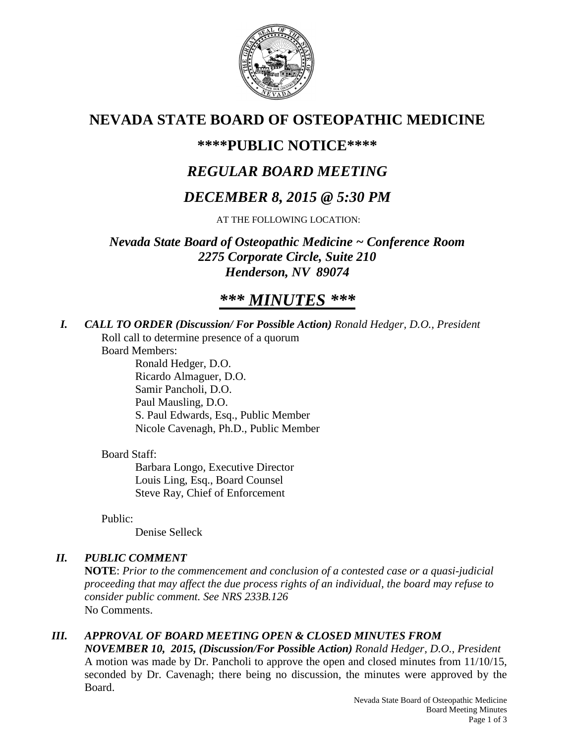

# **NEVADA STATE BOARD OF OSTEOPATHIC MEDICINE**

# **\*\*\*\*PUBLIC NOTICE\*\*\*\***

# *REGULAR BOARD MEETING*

# *DECEMBER 8, 2015 @ 5:30 PM*

AT THE FOLLOWING LOCATION:

*Nevada State Board of Osteopathic Medicine ~ Conference Room 2275 Corporate Circle, Suite 210 Henderson, NV 89074*

# *\*\*\* MINUTES \*\*\**

*I. CALL TO ORDER (Discussion/ For Possible Action) Ronald Hedger, D.O., President* Roll call to determine presence of a quorum

Board Members:

Ronald Hedger, D.O. Ricardo Almaguer, D.O. Samir Pancholi, D.O. Paul Mausling, D.O. S. Paul Edwards, Esq., Public Member Nicole Cavenagh, Ph.D., Public Member

# Board Staff:

Barbara Longo, Executive Director Louis Ling, Esq., Board Counsel Steve Ray, Chief of Enforcement

Public:

Denise Selleck

# *II. PUBLIC COMMENT*

**NOTE**: *Prior to the commencement and conclusion of a contested case or a quasi-judicial proceeding that may affect the due process rights of an individual, the board may refuse to consider public comment. See NRS 233B.126* No Comments.

# *III. APPROVAL OF BOARD MEETING OPEN & CLOSED MINUTES FROM*

*NOVEMBER 10, 2015, (Discussion/For Possible Action) Ronald Hedger, D.O., President* A motion was made by Dr. Pancholi to approve the open and closed minutes from 11/10/15, seconded by Dr. Cavenagh; there being no discussion, the minutes were approved by the Board.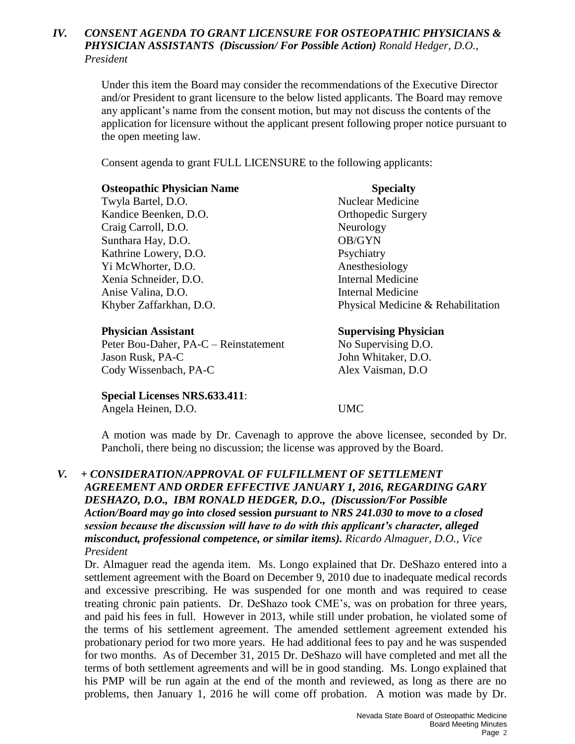### *IV. CONSENT AGENDA TO GRANT LICENSURE FOR OSTEOPATHIC PHYSICIANS & PHYSICIAN ASSISTANTS (Discussion/ For Possible Action) Ronald Hedger, D.O., President*

Under this item the Board may consider the recommendations of the Executive Director and/or President to grant licensure to the below listed applicants. The Board may remove any applicant's name from the consent motion, but may not discuss the contents of the application for licensure without the applicant present following proper notice pursuant to the open meeting law.

Consent agenda to grant FULL LICENSURE to the following applicants:

### **Osteopathic Physician Name Specialty**

Twyla Bartel, D.O. Nuclear Medicine Kandice Beenken, D.O. **Orthopedic Surgery** Craig Carroll, D.O. Neurology Sunthara Hay, D.O. OB/GYN Kathrine Lowery, D.O. Psychiatry Yi McWhorter, D.O. Anesthesiology Xenia Schneider, D.O. Internal Medicine Anise Valina, D.O. Internal Medicine

Peter Bou-Daher, PA-C – Reinstatement No Supervising D.O. Jason Rusk, PA-C John Whitaker, D.O. Cody Wissenbach, PA-C Alex Vaisman, D.O

**Special Licenses NRS.633.411**: Angela Heinen, D.O. UMC

Khyber Zaffarkhan, D.O. Physical Medicine & Rehabilitation

## **Physician Assistant Supervising Physician**

A motion was made by Dr. Cavenagh to approve the above licensee, seconded by Dr. Pancholi, there being no discussion; the license was approved by the Board.

## *V. + CONSIDERATION/APPROVAL OF FULFILLMENT OF SETTLEMENT AGREEMENT AND ORDER EFFECTIVE JANUARY 1, 2016, REGARDING GARY DESHAZO, D.O., IBM RONALD HEDGER, D.O., (Discussion/For Possible Action/Board may go into closed* **session** *pursuant to NRS 241.030 to move to a closed session because the discussion will have to do with this applicant's character, alleged misconduct, professional competence, or similar items). Ricardo Almaguer, D.O., Vice President*

Dr. Almaguer read the agenda item. Ms. Longo explained that Dr. DeShazo entered into a settlement agreement with the Board on December 9, 2010 due to inadequate medical records and excessive prescribing. He was suspended for one month and was required to cease treating chronic pain patients. Dr. DeShazo took CME's, was on probation for three years, and paid his fees in full. However in 2013, while still under probation, he violated some of the terms of his settlement agreement. The amended settlement agreement extended his probationary period for two more years. He had additional fees to pay and he was suspended for two months. As of December 31, 2015 Dr. DeShazo will have completed and met all the terms of both settlement agreements and will be in good standing. Ms. Longo explained that his PMP will be run again at the end of the month and reviewed, as long as there are no problems, then January 1, 2016 he will come off probation. A motion was made by Dr.